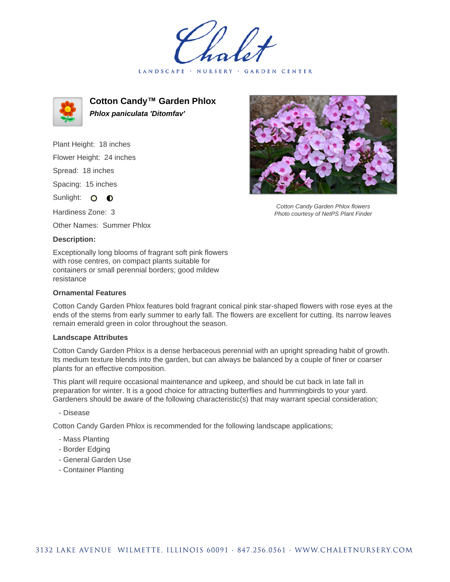LANDSCAPE · NURSERY GARDEN CENTER



**Cotton Candy™ Garden Phlox Phlox paniculata 'Ditomfav'**

Plant Height: 18 inches Flower Height: 24 inches Spread: 18 inches Spacing: 15 inches

Sunlight: O **O** 

Hardiness Zone: 3

Other Names: Summer Phlox

## **Description:**

Exceptionally long blooms of fragrant soft pink flowers with rose centres, on compact plants suitable for containers or small perennial borders; good mildew resistance

## **Ornamental Features**

Cotton Candy Garden Phlox features bold fragrant conical pink star-shaped flowers with rose eyes at the ends of the stems from early summer to early fall. The flowers are excellent for cutting. Its narrow leaves remain emerald green in color throughout the season.

## **Landscape Attributes**

Cotton Candy Garden Phlox is a dense herbaceous perennial with an upright spreading habit of growth. Its medium texture blends into the garden, but can always be balanced by a couple of finer or coarser plants for an effective composition.

This plant will require occasional maintenance and upkeep, and should be cut back in late fall in preparation for winter. It is a good choice for attracting butterflies and hummingbirds to your yard. Gardeners should be aware of the following characteristic(s) that may warrant special consideration;

- Disease

Cotton Candy Garden Phlox is recommended for the following landscape applications;

- Mass Planting
- Border Edging
- General Garden Use
- Container Planting



Cotton Candy Garden Phlox flowers Photo courtesy of NetPS Plant Finder